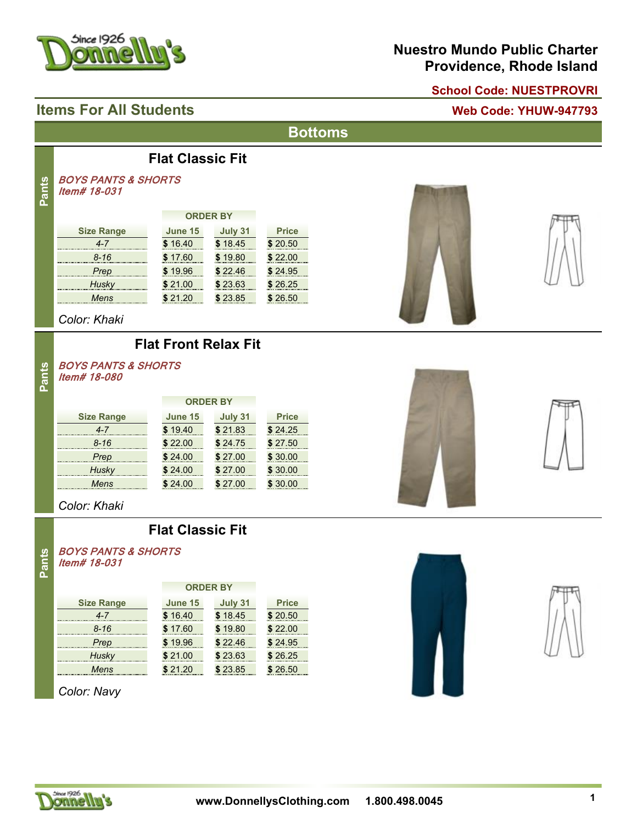

#### **Nuestro Mundo Public Charter Providence, Rhode Island**

#### **School Code: NUESTPROVRI**

#### **Items For All Students Web Code: YHUW-947793**

*BOYS PANTS & SHORTS*

# **Bottoms**





*Color: Khaki*

*Item# 18-031*

**Pants**

**Pants**

**Size Range**

#### **Flat Front Relax Fit**

**Flat Classic Fit**

**ORDER BY**

*4-7* **\$** 16.40 **\$** 18.45 **\$** 20.50 *8-16* **\$** 17.60 **\$** 19.80 **\$** 22.00 *Prep* **\$** 19.96 **\$** 22.46 **\$** 24.95 *Husky* **\$** 21.00 **\$** 23.63 **\$** 26.25 *Mens* **\$** 21.20 **\$** 23.85 **\$** 26.50

**June 15 July 31 Price**

#### *BOYS PANTS & SHORTS Item# 18-080*

|                   | <b>ORDER BY</b> |         |              |
|-------------------|-----------------|---------|--------------|
| <b>Size Range</b> | <b>June 15</b>  | July 31 | <b>Price</b> |
| 4-7               | \$19.40         | \$21.83 | \$24.25      |
| $8 - 16$          | \$22.00         | \$24.75 | \$27.50      |
| Prep              | \$24.00         | \$27.00 | \$30.00      |
| Husky             | \$24.00         | \$27.00 | \$30.00      |
| Mens              | 24.00           | \$27.00 | \$30.00      |



#### **Flat Classic Fit**

#### *BOYS PANTS & SHORTS Item# 18-031* **Pants**

|                   | <b>ORDER BY</b> |         |              |
|-------------------|-----------------|---------|--------------|
| <b>Size Range</b> | June 15         | July 31 | <b>Price</b> |
| 4-7               | \$16.40         | \$18.45 | \$20.50      |
| $8 - 16$          | \$17.60         | \$19.80 | \$22.00      |
| Prep              | \$19.96         | \$22.46 | \$24.95      |
| <b>Husky</b>      | \$21.00         | \$23.63 | \$26.25      |
| Mens              | -21-20          | \$23.85 | 26.50        |

*Color: Navy*









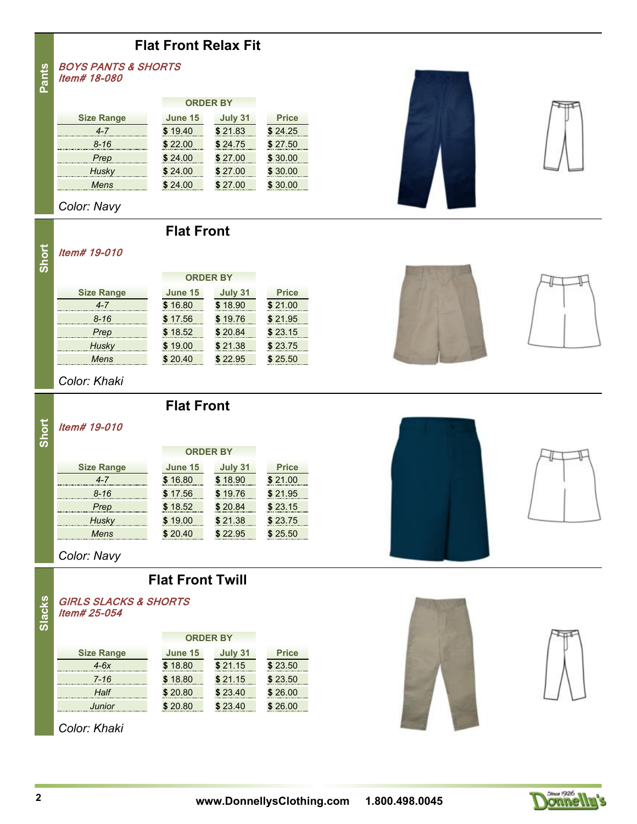#### **Flat Front Relax Fit**

*BOYS PANTS & SHORTS Item# 18-080* **Pants**

| June 15 | July 31 | <b>Price</b>    |
|---------|---------|-----------------|
| \$19.40 | \$21.83 | \$24.25         |
| \$22.00 | \$24.75 | \$27.50         |
| \$24.00 | \$27.00 | \$30.00         |
| \$24.00 | \$27.00 | \$30.00         |
| \$24.00 | \$27.00 | \$30.00         |
|         |         | <b>ORDER BY</b> |

*Color: Navy*

#### **Flat Front**

## **Short**

#### *Item# 19-010*

| June 15 | July 31  | <b>Price</b>    |
|---------|----------|-----------------|
| \$16.80 | \$18.90  | \$21.00         |
| \$17.56 | \$19.76  | \$21.95         |
| \$18.52 | \$20.84  | \$23.15         |
| \$19.00 | \$21.38  | \$23.75         |
| \$20.40 | \$ 22 95 | \$25.50         |
|         |          | <b>ORDER BY</b> |

**Flat Front**

#### *Color: Khaki*

#### *Item# 19-010* **Short**

|                   | <b>ORDER BY</b> |         |              |
|-------------------|-----------------|---------|--------------|
| <b>Size Range</b> | June 15         | July 31 | <b>Price</b> |
| 4-7               | \$16.80         | \$18.90 | \$21.00      |
| $8 - 16$          | \$17.56         | \$19.76 | \$21.95      |
| Prep              | \$18.52         | \$20.84 | \$23.15      |
| Husky             | \$19.00         | \$21.38 | \$23.75      |
| Mens              | \$20.40         | \$22.95 | \$25.50      |

*Color: Navy*

#### **Flat Front Twill**

#### *GIRLS SLACKS & SHORTS Item# 25-054*

|                   | <b>ORDER BY</b> |         |              |
|-------------------|-----------------|---------|--------------|
| <b>Size Range</b> | June 15         | July 31 | <b>Price</b> |
| $4-6x$            | \$18.80         | \$21.15 | \$23.50      |
| $7 - 16$          | \$18.80         | \$21.15 | \$23.50      |
| Half              | \$20.80         | \$23.40 | \$26.00      |
| Junior            | \$20.80         | \$23.40 | \$26.00      |
|                   |                 |         |              |

*Color: Khaki*











**Slacks**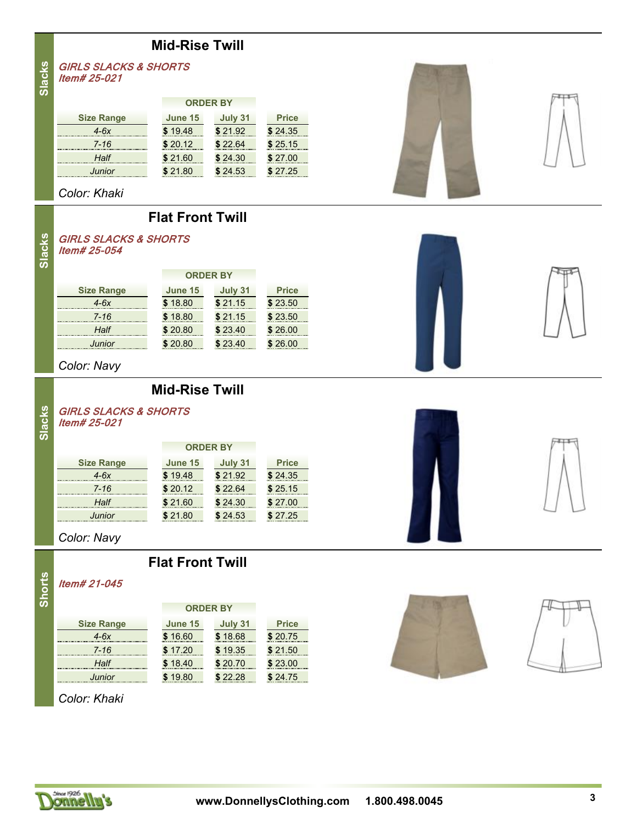#### **Mid-Rise Twill**

**Slacks**

|                   | <b>ORDER BY</b> |         |              |
|-------------------|-----------------|---------|--------------|
| <b>Size Range</b> | June 15         | July 31 | <b>Price</b> |
| $4-6x$            | \$19.48         | \$21.92 | \$24.35      |
| $7 - 16$          | \$20.12         | \$22.64 | \$25.15      |
| Half              | \$21.60         | \$24.30 | \$ 27.00     |
| Junior            | \$21.80         | \$24.53 | \$27.25      |

*Color: Khaki*

*Item# 25-021*

#### **Flat Front Twill**



*GIRLS SLACKS & SHORTS*

**Slacks**

**Slacks**

|                   | <b>ORDER BY</b> |         |              |
|-------------------|-----------------|---------|--------------|
| <b>Size Range</b> | June 15         | July 31 | <b>Price</b> |
| $4-6x$            | \$18.80         | \$21.15 | \$23.50      |
| $7 - 16$          | \$18.80         | \$21.15 | \$23.50      |
| Half              | \$20.80         | \$23.40 | \$26.00      |
| Junior            | \$20.80         | \$23,40 | \$26.00      |

**Mid-Rise Twill**

*Color: Navy*

#### *GIRLS SLACKS & SHORTS Item# 25-021*

|                   | <b>ORDER BY</b> |         |              |
|-------------------|-----------------|---------|--------------|
| <b>Size Range</b> | June 15         | July 31 | <b>Price</b> |
| $4-6x$            | \$19.48         | \$21.92 | \$24.35      |
| $7 - 16$          | \$20.12         | \$22.64 | \$25.15      |
| Half              | \$21.60         | \$24.30 | \$27.00      |
| Junior            | \$21.80         | \$24.53 | \$27.25      |

*Color: Navy*

**Flat Front Twill**

**Shorts**

### *Item# 21-045*

|              | ۰, |  |
|--------------|----|--|
|              |    |  |
| ı<br>and the | ۰, |  |
|              |    |  |

| <b>Size Range</b> |
|-------------------|
| $4-6x$            |
| 7-16              |
| Half              |
| lunior            |

## **June 15 July 31 Price ORDER BY**

| $4-6x$ | \$16.60 | \$18.68 | \$20.75 |
|--------|---------|---------|---------|
| 7-16   | \$17.20 | \$19.35 | \$21.50 |
| Half   | \$18.40 | \$20.70 | \$23.00 |
| Junior | \$19.80 | \$22.28 | \$24.75 |

*Color: Khaki*







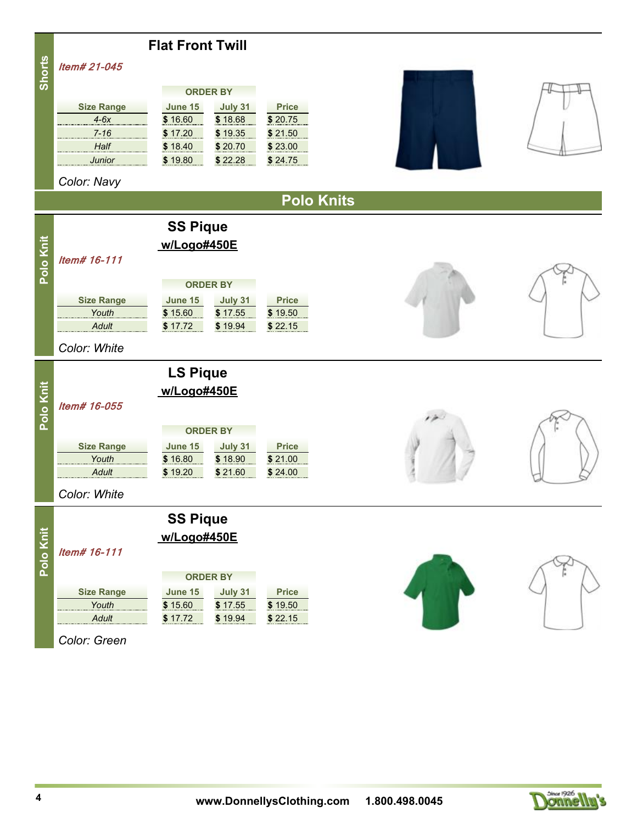